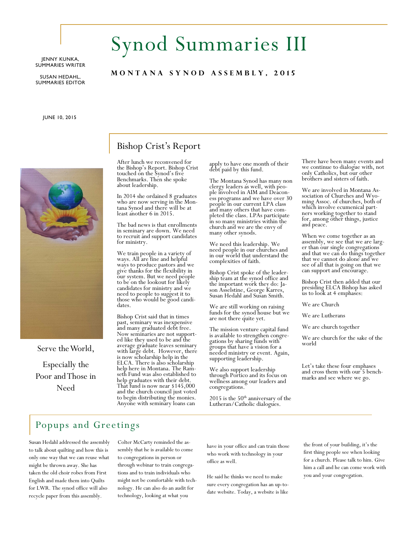#### JENNY KUNKA, SUMMARIES WRITER

SUSAN HEDAHL, SUMMARIES EDITOR

JUNE 10, 2015



Serve the World, Especially the Poor and Those in Need

# Synod Summaries III

## **M O N T A N A S Y N O D A S S E M B L Y , 2 0 1 5**

# Bishop Crist's Report

After lunch we reconvened for the Bishop's Report. Bishop Crist touched on the Synod's five Benchmarks. Then she spoke about leadership.

In 2014 she ordained 8 graduates who are now serving in the Montana Synod and there will be at least another 6 in 2015.

The bad news is that enrollments in seminary are down. We need to recruit and support candidates for ministry.

We train people in a variety of ways. All are fine and helpful ways to produce pastors and we give thanks for the flexibility in our system. But we need people to be on the lookout for likely candidates for ministry and we need to people to suggest it to those who would be good candidates.

Bishop Crist said that in times past, seminary was inexpensive and many graduated debt free. Now seminaries are not supported like they used to be and the average graduate leaves seminary with large debt. However, there is now scholarship help in the ELCA. There is also scholarship help here in Montana. The Ramseth Fund was also established to help graduates with their debt. That fund is now near \$145,000 and the church council just voted to begin distributing the monies. Anyone with seminary loans can

apply to have one month of their debt paid by this fund.

The Montana Synod has many non clergy leaders as well, with people involved in AIM and Deaconess programs and we have over 30 people in our current LPA class and many others that have completed the class. LPAs participate in so many ministries within the church and we are the envy of many other synods.

We need this leadership. We need people in our churches and in our world that understand the complexities of faith.

Bishop Crist spoke of the leadership team at the synod office and the important work they do: Jason Asselstine, George Karres, Susan Hedahl and Susan Smith.

We are still working on raising funds for the synod house but we are not there quite yet.

The mission venture capital fund is available to strengthen congregations by sharing funds with groups that have a vision for a needed ministry or event. Again, supporting leadership.

We also support leadership through Portico and its focus on wellness among our leaders and congregations.

 $2015$  is the  $50<sup>th</sup>$  anniversary of the Lutheran/Catholic dialogues.

There have been many events and we continue to dialogue with, not only Catholics, but our other brothers and sisters of faith.

We are involved in Montana Association of Churches and Wyoming Assoc. of churches, both of which involve ecumenical partners working together to stand for, among other things, justice and peace.

When we come together as an assembly, we see that we are larger than our single congregations and that we can do things together that we cannot do alone and we see of all that is going on that we can support and encourage.

Bishop Crist then added that our presiding ELCA Bishop has asked us to look at 4 emphases:

We are Church

We are Lutherans

We are church together

We are church for the sake of the world

Let's take these four emphases and cross them with our 5 benchmarks and see where we go.

# Popups and Greetings

Susan Hedahl addressed the assembly to talk about quilting and how this is only one way that we can reuse what might be thrown away. She has taken the old choir robes from First English and made them into Quilts for LWR. The synod office will also recycle paper from this assembly.

Colter McCarty reminded the assembly that he is available to come to congregations in person or through webinar to train congregations and to train individuals who might not be comfortable with technology. He can also do an audit for technology, looking at what you

have in your office and can train those who work with technology in your office as well.

He said he thinks we need to make sure every congregation has an up-todate website. Today, a website is like the front of your building, it's the first thing people see when looking for a church. Please talk to him. Give him a call and he can come work with you and your congregation.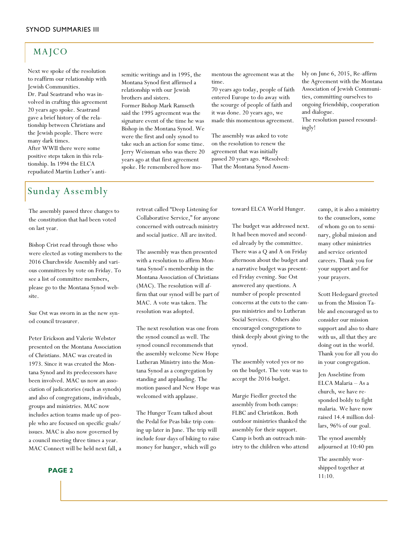# MAJCO

Next we spoke of the resolution to reaffirm our relationship with Jewish Communities.

Dr. Paul Seastrand who was involved in crafting this agreement 20 years ago spoke. Seastrand gave a brief history of the relationship between Christians and the Jewish people. There were many dark times. After WWII there were some

positive steps taken in this relationship. In 1994 the ELCA repudiated Martin Luther's anti-

# Sunday Assembly

The assembly passed three changes to the constitution that had been voted on last year.

Bishop Crist read through those who were elected as voting members to the 2016 Churchwide Assembly and various committees by vote on Friday. To see a list of committee members, please go to the Montana Synod website.

Sue Ost was sworn in as the new synod council treasurer.

Peter Erickson and Valerie Webster presented on the Montana Association of Christians. MAC was created in 1973. Since it was created the Montana Synod and its predecessors have been involved. MAC us now an association of judicatories (such as synods) and also of congregations, individuals, groups and ministries. MAC now includes action teams made up of people who are focused on specific goals/ issues. MAC is also now governed by a council meeting three times a year. MAC Connect will be held next fall, a

semitic writings and in 1995, the Montana Synod first affirmed a relationship with our Jewish brothers and sisters. Former Bishop Mark Ramseth said the 1995 agreement was the signature event of the time he was Bishop in the Montana Synod. We were the first and only synod to take such an action for some time. Jerry Weissman who was there 20

years ago at that first agreement spoke. He remembered how momentous the agreement was at the time.

70 years ago today, people of faith entered Europe to do away with the scourge of people of faith and it was done. 20 years ago, we made this momentous agreement.

The assembly was asked to vote on the resolution to renew the agreement that was initially passed 20 years ago. \*Resolved: That the Montana Synod Assembly on June 6, 2015, Re-affirm the Agreement with the Montana Association of Jewish Communities, committing ourselves to ongoing friendship, cooperation and dialogue.

The resolution passed resoundingly!

retreat called "Deep Listening for Collaborative Service," for anyone concerned with outreach ministry and social justice. All are invited.

The assembly was then presented with a resolution to affirm Montana Synod's membership in the Montana Association of Christians (MAC). The resolution will affirm that our synod will be part of MAC. A vote was taken. The resolution was adopted.

The next resolution was one from the synod council as well. The synod council recommends that the assembly welcome New Hope Lutheran Ministry into the Montana Synod as a congregation by standing and applauding. The motion passed and New Hope was welcomed with applause.

The Hunger Team talked about the Pedal for Peas bike trip coming up later in June. The trip will include four days of biking to raise money for hunger, which will go

toward ELCA World Hunger.

The budget was addressed next. It had been moved and seconded already by the committee. There was a Q and A on Friday afternoon about the budget and a narrative budget was presented Friday evening. Sue Ost answered any questions. A number of people presented concerns at the cuts to the campus ministries and to Lutheran Social Services. Others also encouraged congregations to think deeply about giving to the synod.

The assembly voted yes or no on the budget. The vote was to accept the 2016 budget.

Margie Fiedler greeted the assembly from both camps: FLBC and Christikon. Both outdoor ministries thanked the assembly for their support. Camp is both an outreach ministry to the children who attend camp, it is also a ministry to the counselors, some of whom go on to seminary, global mission and many other ministries and service oriented careers. Thank you for your support and for your prayers.

Scott Hedegaard greeted us from the Mission Table and encouraged us to consider our mission support and also to share with us, all that they are doing out in the world. Thank you for all you do in your congregation.

Jen Asselstine from ELCA Malaria – As a church, we have responded boldy to fight malaria. We have now raised 14.4 million dollars, 96% of our goal.

The synod assembly adjourned at 10:40 pm

The assembly worshipped together at 11:10.

**PAGE 2**